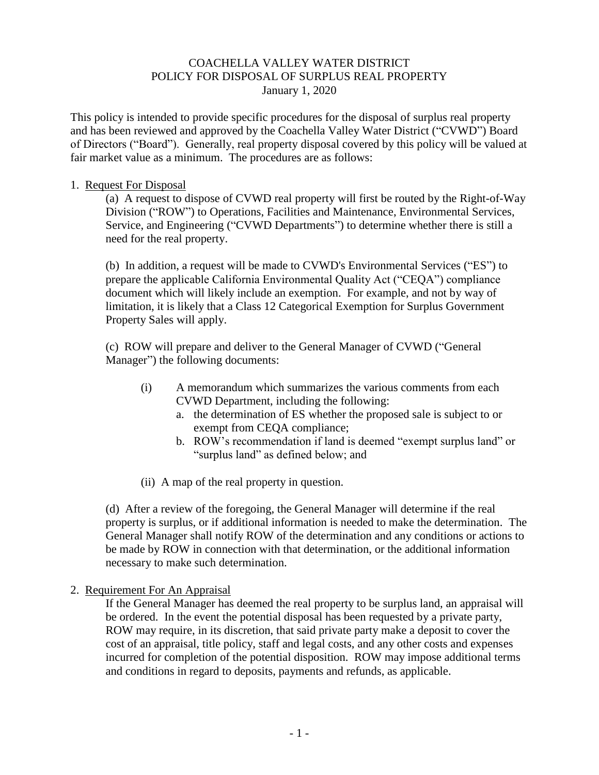### COACHELLA VALLEY WATER DISTRICT POLICY FOR DISPOSAL OF SURPLUS REAL PROPERTY January 1, 2020

This policy is intended to provide specific procedures for the disposal of surplus real property and has been reviewed and approved by the Coachella Valley Water District ("CVWD") Board of Directors ("Board"). Generally, real property disposal covered by this policy will be valued at fair market value as a minimum. The procedures are as follows:

### 1. Request For Disposal

(a) A request to dispose of CVWD real property will first be routed by the Right-of-Way Division ("ROW") to Operations, Facilities and Maintenance, Environmental Services, Service, and Engineering ("CVWD Departments") to determine whether there is still a need for the real property.

(b) In addition, a request will be made to CVWD's Environmental Services ("ES") to prepare the applicable California Environmental Quality Act ("CEQA") compliance document which will likely include an exemption. For example, and not by way of limitation, it is likely that a Class 12 Categorical Exemption for Surplus Government Property Sales will apply.

(c) ROW will prepare and deliver to the General Manager of CVWD ("General Manager") the following documents:

- (i) A memorandum which summarizes the various comments from each CVWD Department, including the following:
	- a. the determination of ES whether the proposed sale is subject to or exempt from CEQA compliance;
	- b. ROW's recommendation if land is deemed "exempt surplus land" or "surplus land" as defined below; and
- (ii) A map of the real property in question.

(d) After a review of the foregoing, the General Manager will determine if the real property is surplus, or if additional information is needed to make the determination. The General Manager shall notify ROW of the determination and any conditions or actions to be made by ROW in connection with that determination, or the additional information necessary to make such determination.

2. Requirement For An Appraisal

If the General Manager has deemed the real property to be surplus land, an appraisal will be ordered. In the event the potential disposal has been requested by a private party, ROW may require, in its discretion, that said private party make a deposit to cover the cost of an appraisal, title policy, staff and legal costs, and any other costs and expenses incurred for completion of the potential disposition. ROW may impose additional terms and conditions in regard to deposits, payments and refunds, as applicable.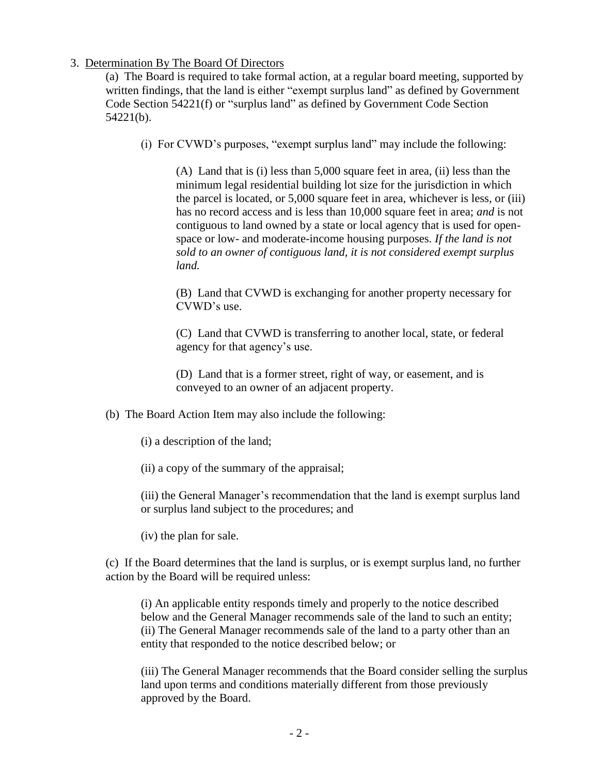### 3. Determination By The Board Of Directors

(a) The Board is required to take formal action, at a regular board meeting, supported by written findings, that the land is either "exempt surplus land" as defined by Government Code Section 54221(f) or "surplus land" as defined by Government Code Section 54221(b).

(i) For CVWD's purposes, "exempt surplus land" may include the following:

(A) Land that is (i) less than 5,000 square feet in area, (ii) less than the minimum legal residential building lot size for the jurisdiction in which the parcel is located, or 5,000 square feet in area, whichever is less, or (iii) has no record access and is less than 10,000 square feet in area; *and* is not contiguous to land owned by a state or local agency that is used for openspace or low- and moderate-income housing purposes. *If the land is not sold to an owner of contiguous land, it is not considered exempt surplus land.*

(B) Land that CVWD is exchanging for another property necessary for CVWD's use.

(C) Land that CVWD is transferring to another local, state, or federal agency for that agency's use.

(D) Land that is a former street, right of way, or easement, and is conveyed to an owner of an adjacent property.

(b) The Board Action Item may also include the following:

(i) a description of the land;

(ii) a copy of the summary of the appraisal;

(iii) the General Manager's recommendation that the land is exempt surplus land or surplus land subject to the procedures; and

(iv) the plan for sale.

(c) If the Board determines that the land is surplus, or is exempt surplus land, no further action by the Board will be required unless:

(i) An applicable entity responds timely and properly to the notice described below and the General Manager recommends sale of the land to such an entity; (ii) The General Manager recommends sale of the land to a party other than an entity that responded to the notice described below; or

(iii) The General Manager recommends that the Board consider selling the surplus land upon terms and conditions materially different from those previously approved by the Board.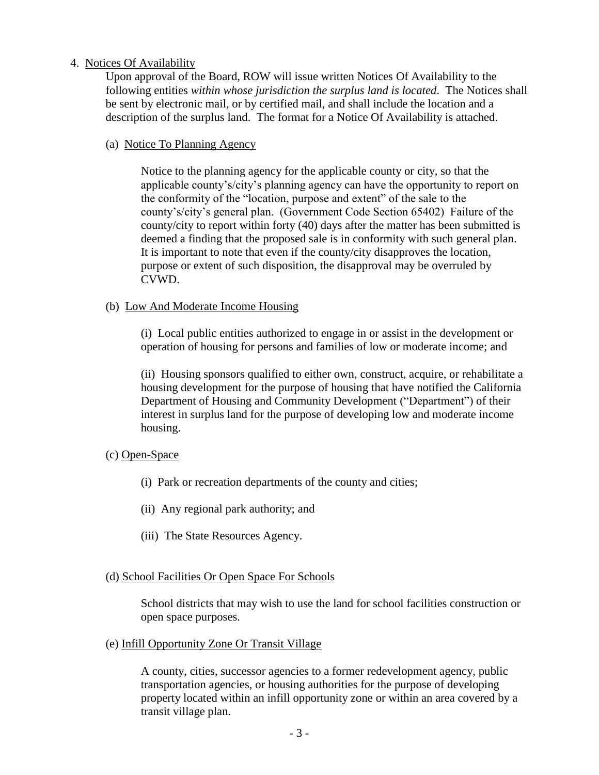### 4. Notices Of Availability

Upon approval of the Board, ROW will issue written Notices Of Availability to the following entities *within whose jurisdiction the surplus land is located*. The Notices shall be sent by electronic mail, or by certified mail, and shall include the location and a description of the surplus land. The format for a Notice Of Availability is attached.

(a) Notice To Planning Agency

Notice to the planning agency for the applicable county or city, so that the applicable county's/city's planning agency can have the opportunity to report on the conformity of the "location, purpose and extent" of the sale to the county's/city's general plan. (Government Code Section 65402) Failure of the county/city to report within forty (40) days after the matter has been submitted is deemed a finding that the proposed sale is in conformity with such general plan. It is important to note that even if the county/city disapproves the location, purpose or extent of such disposition, the disapproval may be overruled by CVWD.

(b) Low And Moderate Income Housing

(i) Local public entities authorized to engage in or assist in the development or operation of housing for persons and families of low or moderate income; and

(ii) Housing sponsors qualified to either own, construct, acquire, or rehabilitate a housing development for the purpose of housing that have notified the California Department of Housing and Community Development ("Department") of their interest in surplus land for the purpose of developing low and moderate income housing.

# (c) Open-Space

- (i) Park or recreation departments of the county and cities;
- (ii) Any regional park authority; and
- (iii) The State Resources Agency.

#### (d) School Facilities Or Open Space For Schools

School districts that may wish to use the land for school facilities construction or open space purposes.

(e) Infill Opportunity Zone Or Transit Village

A county, cities, successor agencies to a former redevelopment agency, public transportation agencies, or housing authorities for the purpose of developing property located within an infill opportunity zone or within an area covered by a transit village plan.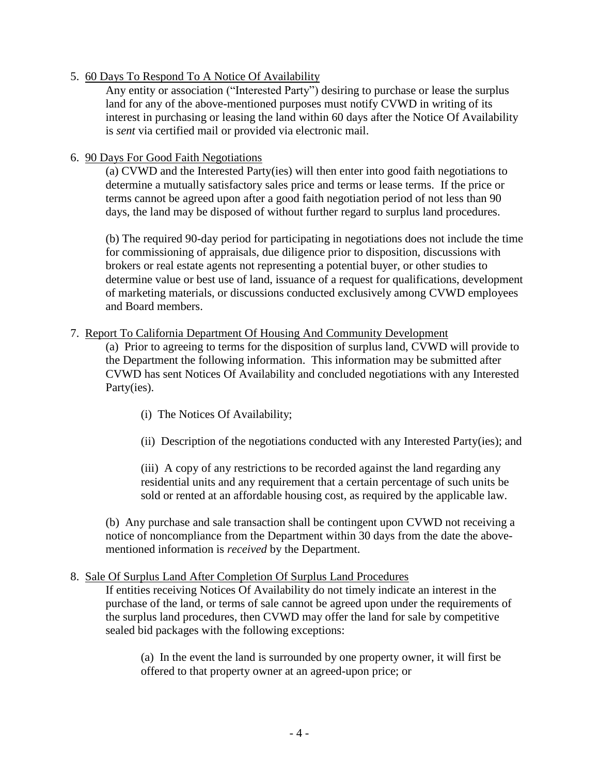### 5. 60 Days To Respond To A Notice Of Availability

Any entity or association ("Interested Party") desiring to purchase or lease the surplus land for any of the above-mentioned purposes must notify CVWD in writing of its interest in purchasing or leasing the land within 60 days after the Notice Of Availability is *sent* via certified mail or provided via electronic mail.

#### 6. 90 Days For Good Faith Negotiations

(a) CVWD and the Interested Party(ies) will then enter into good faith negotiations to determine a mutually satisfactory sales price and terms or lease terms. If the price or terms cannot be agreed upon after a good faith negotiation period of not less than 90 days, the land may be disposed of without further regard to surplus land procedures.

(b) The required 90-day period for participating in negotiations does not include the time for commissioning of appraisals, due diligence prior to disposition, discussions with brokers or real estate agents not representing a potential buyer, or other studies to determine value or best use of land, issuance of a request for qualifications, development of marketing materials, or discussions conducted exclusively among CVWD employees and Board members.

### 7. Report To California Department Of Housing And Community Development

(a) Prior to agreeing to terms for the disposition of surplus land, CVWD will provide to the Department the following information. This information may be submitted after CVWD has sent Notices Of Availability and concluded negotiations with any Interested Party(ies).

- (i) The Notices Of Availability;
- (ii) Description of the negotiations conducted with any Interested Party(ies); and

(iii) A copy of any restrictions to be recorded against the land regarding any residential units and any requirement that a certain percentage of such units be sold or rented at an affordable housing cost, as required by the applicable law.

(b) Any purchase and sale transaction shall be contingent upon CVWD not receiving a notice of noncompliance from the Department within 30 days from the date the abovementioned information is *received* by the Department.

#### 8. Sale Of Surplus Land After Completion Of Surplus Land Procedures

If entities receiving Notices Of Availability do not timely indicate an interest in the purchase of the land, or terms of sale cannot be agreed upon under the requirements of the surplus land procedures, then CVWD may offer the land for sale by competitive sealed bid packages with the following exceptions:

(a) In the event the land is surrounded by one property owner, it will first be offered to that property owner at an agreed-upon price; or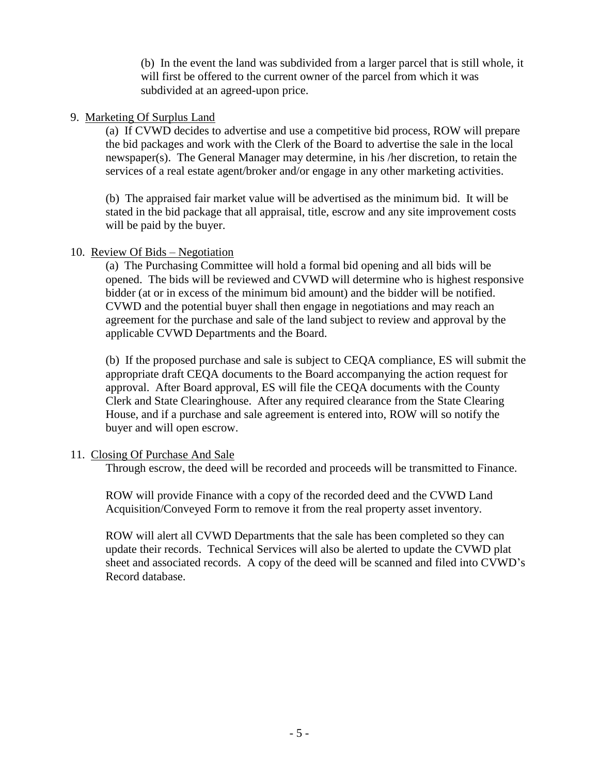(b) In the event the land was subdivided from a larger parcel that is still whole, it will first be offered to the current owner of the parcel from which it was subdivided at an agreed-upon price.

### 9. Marketing Of Surplus Land

(a) If CVWD decides to advertise and use a competitive bid process, ROW will prepare the bid packages and work with the Clerk of the Board to advertise the sale in the local newspaper(s). The General Manager may determine, in his /her discretion, to retain the services of a real estate agent/broker and/or engage in any other marketing activities.

(b) The appraised fair market value will be advertised as the minimum bid. It will be stated in the bid package that all appraisal, title, escrow and any site improvement costs will be paid by the buyer.

# 10. Review Of Bids – Negotiation

(a) The Purchasing Committee will hold a formal bid opening and all bids will be opened. The bids will be reviewed and CVWD will determine who is highest responsive bidder (at or in excess of the minimum bid amount) and the bidder will be notified. CVWD and the potential buyer shall then engage in negotiations and may reach an agreement for the purchase and sale of the land subject to review and approval by the applicable CVWD Departments and the Board.

(b) If the proposed purchase and sale is subject to CEQA compliance, ES will submit the appropriate draft CEQA documents to the Board accompanying the action request for approval. After Board approval, ES will file the CEQA documents with the County Clerk and State Clearinghouse. After any required clearance from the State Clearing House, and if a purchase and sale agreement is entered into, ROW will so notify the buyer and will open escrow.

# 11. Closing Of Purchase And Sale

Through escrow, the deed will be recorded and proceeds will be transmitted to Finance.

ROW will provide Finance with a copy of the recorded deed and the CVWD Land Acquisition/Conveyed Form to remove it from the real property asset inventory.

ROW will alert all CVWD Departments that the sale has been completed so they can update their records. Technical Services will also be alerted to update the CVWD plat sheet and associated records. A copy of the deed will be scanned and filed into CVWD's Record database.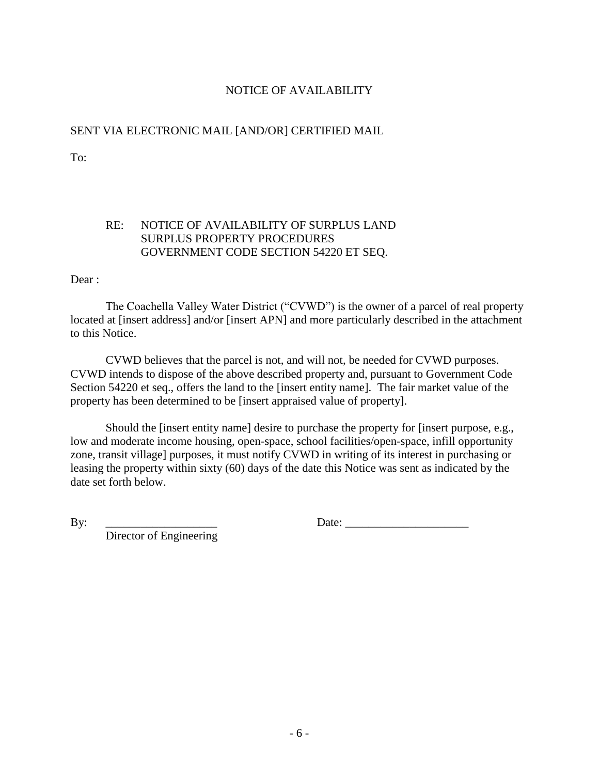# NOTICE OF AVAILABILITY

# SENT VIA ELECTRONIC MAIL [AND/OR] CERTIFIED MAIL

To:

# RE: NOTICE OF AVAILABILITY OF SURPLUS LAND SURPLUS PROPERTY PROCEDURES GOVERNMENT CODE SECTION 54220 ET SEQ.

Dear :

The Coachella Valley Water District ("CVWD") is the owner of a parcel of real property located at [insert address] and/or [insert APN] and more particularly described in the attachment to this Notice.

CVWD believes that the parcel is not, and will not, be needed for CVWD purposes. CVWD intends to dispose of the above described property and, pursuant to Government Code Section 54220 et seq., offers the land to the [insert entity name]. The fair market value of the property has been determined to be [insert appraised value of property].

Should the [insert entity name] desire to purchase the property for [insert purpose, e.g., low and moderate income housing, open-space, school facilities/open-space, infill opportunity zone, transit village] purposes, it must notify CVWD in writing of its interest in purchasing or leasing the property within sixty (60) days of the date this Notice was sent as indicated by the date set forth below.

Director of Engineering

By: <u>Date:</u>  $\Box$